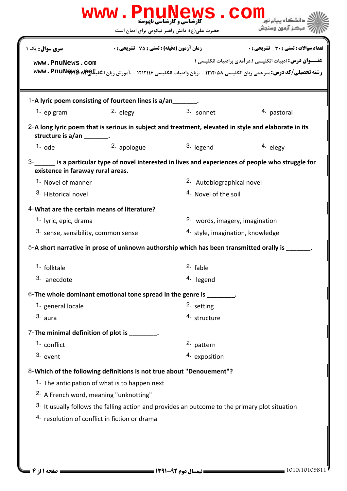|                                                                           |                                                    | <b>گارشناسی و کارشناسی ناپیوسته</b><br>حضرت علی(ع): دانش راهبر نیکویی برای ایمان است                 | مركز آزمون وسنجش                                                                                                                                                            |  |
|---------------------------------------------------------------------------|----------------------------------------------------|------------------------------------------------------------------------------------------------------|-----------------------------------------------------------------------------------------------------------------------------------------------------------------------------|--|
|                                                                           |                                                    |                                                                                                      |                                                                                                                                                                             |  |
| <b>سری سوال:</b> یک ۱                                                     | <b>زمان آزمون (دقیقه) : تستی : 75 ٪ تشریحی : 0</b> |                                                                                                      | <b>تعداد سوالات : تستی : 30 ٪ تشریحی : 0</b>                                                                                                                                |  |
| www.PnuNews.com                                                           |                                                    |                                                                                                      | عنــوان درس: ادبیات انگلیسی ۱،درآمدی برادبیات انگلیسی ۱<br>رشته تحصیلی/کد درس: مترجمی زبان انگلیسی ۱۲۱۲۰۵۸ - ،زبان وادبیات انگلیسی ۱۲۱۲۱۱۶ - ،آموزش زبان انگلیکا&wwv . PnuN |  |
|                                                                           |                                                    |                                                                                                      |                                                                                                                                                                             |  |
|                                                                           |                                                    |                                                                                                      |                                                                                                                                                                             |  |
| 1-A lyric poem consisting of fourteen lines is a/an_______.<br>1. epigram | 2. elegy                                           | 3. sonnet                                                                                            | 4. pastoral                                                                                                                                                                 |  |
|                                                                           |                                                    |                                                                                                      |                                                                                                                                                                             |  |
| structure is a/an ________.                                               |                                                    | 2-A long lyric poem that is serious in subject and treatment, elevated in style and elaborate in its |                                                                                                                                                                             |  |
| 1. $ode$                                                                  | 2. apologue                                        | 3. legend                                                                                            | 4. elegy                                                                                                                                                                    |  |
|                                                                           |                                                    |                                                                                                      | 3- is a particular type of novel interested in lives and experiences of people who struggle for                                                                             |  |
| existence in faraway rural areas.                                         |                                                    |                                                                                                      |                                                                                                                                                                             |  |
| 1. Novel of manner                                                        |                                                    | 2. Autobiographical novel                                                                            |                                                                                                                                                                             |  |
| 3. Historical novel                                                       |                                                    | <sup>4</sup> Novel of the soil                                                                       |                                                                                                                                                                             |  |
| 4- What are the certain means of literature?                              |                                                    |                                                                                                      |                                                                                                                                                                             |  |
| 1. lyric, epic, drama                                                     |                                                    |                                                                                                      | 2. words, imagery, imagination                                                                                                                                              |  |
| <sup>3.</sup> sense, sensibility, common sense                            |                                                    | <sup>4.</sup> style, imagination, knowledge                                                          |                                                                                                                                                                             |  |
|                                                                           |                                                    | 5-A short narrative in prose of unknown authorship which has been transmitted orally is              |                                                                                                                                                                             |  |
| <sup>1.</sup> folktale                                                    |                                                    | <sup>2.</sup> fable                                                                                  |                                                                                                                                                                             |  |
| 3. anecdote                                                               |                                                    | 4. legend                                                                                            |                                                                                                                                                                             |  |
|                                                                           |                                                    |                                                                                                      |                                                                                                                                                                             |  |
| 1. general locale                                                         |                                                    | 6-The whole dominant emotional tone spread in the genre is ________.<br><sup>2.</sup> setting        |                                                                                                                                                                             |  |
| 3. aura                                                                   |                                                    | 4. structure                                                                                         |                                                                                                                                                                             |  |
|                                                                           |                                                    |                                                                                                      |                                                                                                                                                                             |  |
| 7-The minimal definition of plot is ________.<br>1. conflict              |                                                    |                                                                                                      |                                                                                                                                                                             |  |
| 3. event                                                                  |                                                    | 2. pattern<br>4. exposition                                                                          |                                                                                                                                                                             |  |
|                                                                           |                                                    |                                                                                                      |                                                                                                                                                                             |  |
| 8-Which of the following definitions is not true about "Denouement"?      |                                                    |                                                                                                      |                                                                                                                                                                             |  |
|                                                                           | 1. The anticipation of what is to happen next      |                                                                                                      |                                                                                                                                                                             |  |
| <sup>2.</sup> A French word, meaning "unknotting"                         |                                                    |                                                                                                      |                                                                                                                                                                             |  |
| 4. resolution of conflict in fiction or drama                             |                                                    | 3. It usually follows the falling action and provides an outcome to the primary plot situation       |                                                                                                                                                                             |  |
|                                                                           |                                                    |                                                                                                      |                                                                                                                                                                             |  |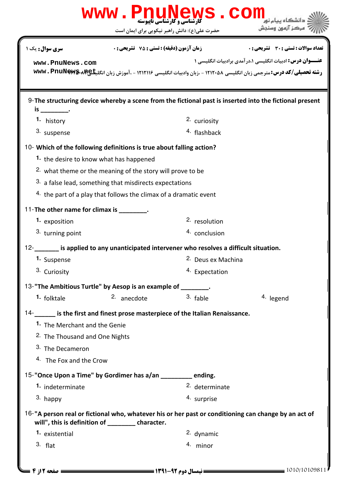| www.PnuNews.cor                                                                          |                                                    |                                               |                                                                                                                                                                             |  |  |  |
|------------------------------------------------------------------------------------------|----------------------------------------------------|-----------------------------------------------|-----------------------------------------------------------------------------------------------------------------------------------------------------------------------------|--|--|--|
|                                                                                          |                                                    | حضرت علی(ع): دانش راهبر نیکویی برای ایمان است | مركز آزمون وسنجش                                                                                                                                                            |  |  |  |
| <b>سری سوال :</b> یک ۱                                                                   | <b>زمان آزمون (دقیقه) : تستی : 75 ٪ تشریحی : 0</b> |                                               | <b>تعداد سوالات : تستي : 30 ٪ تشريحي : 0</b>                                                                                                                                |  |  |  |
| www.PnuNews.com                                                                          |                                                    |                                               | عنــوان درس: ادبیات انگلیسی ۱،درآمدی برادبیات انگلیسی ۱<br>رشته تحصیلی/کد درس: مترجمی زبان انگلیسی ۱۲۱۲۰۵۸ - ،زبان وادبیات انگلیسی ۱۲۱۲۱۱۶ - ،آموزش زبان انگلیکا&wwv . PnuN |  |  |  |
| is ______________.                                                                       |                                                    |                                               | 9-The structuring device whereby a scene from the fictional past is inserted into the fictional present                                                                     |  |  |  |
| 1. history                                                                               |                                                    | 2. curiosity                                  |                                                                                                                                                                             |  |  |  |
| 3. suspense                                                                              |                                                    | 4. flashback                                  |                                                                                                                                                                             |  |  |  |
| 10- Which of the following definitions is true about falling action?                     |                                                    |                                               |                                                                                                                                                                             |  |  |  |
| 1. the desire to know what has happened                                                  |                                                    |                                               |                                                                                                                                                                             |  |  |  |
| <sup>2.</sup> what theme or the meaning of the story will prove to be                    |                                                    |                                               |                                                                                                                                                                             |  |  |  |
| 3. a false lead, something that misdirects expectations                                  |                                                    |                                               |                                                                                                                                                                             |  |  |  |
| 4. the part of a play that follows the climax of a dramatic event                        |                                                    |                                               |                                                                                                                                                                             |  |  |  |
| 11-The other name for climax is ________.                                                |                                                    |                                               |                                                                                                                                                                             |  |  |  |
| 1. exposition                                                                            |                                                    | <sup>2.</sup> resolution                      |                                                                                                                                                                             |  |  |  |
| 3. turning point                                                                         |                                                    | 4. conclusion                                 |                                                                                                                                                                             |  |  |  |
| 12-______ is applied to any unanticipated intervener who resolves a difficult situation. |                                                    |                                               |                                                                                                                                                                             |  |  |  |
| 1. Suspense                                                                              |                                                    | <sup>2.</sup> Deus ex Machina                 |                                                                                                                                                                             |  |  |  |
| 3. Curiosity                                                                             |                                                    | 4. Expectation                                |                                                                                                                                                                             |  |  |  |
| 13-"The Ambitious Turtle" by Aesop is an example of _______.                             |                                                    |                                               |                                                                                                                                                                             |  |  |  |
| 1. folktale                                                                              | 2. anecdote                                        | 3. fable                                      | 4. legend                                                                                                                                                                   |  |  |  |
| 14- is the first and finest prose masterpiece of the Italian Renaissance.                |                                                    |                                               |                                                                                                                                                                             |  |  |  |
| 1. The Merchant and the Genie                                                            |                                                    |                                               |                                                                                                                                                                             |  |  |  |
| <sup>2.</sup> The Thousand and One Nights                                                |                                                    |                                               |                                                                                                                                                                             |  |  |  |
| <sup>3.</sup> The Decameron                                                              |                                                    |                                               |                                                                                                                                                                             |  |  |  |
| 4. The Fox and the Crow                                                                  |                                                    |                                               |                                                                                                                                                                             |  |  |  |
| 15-"Once Upon a Time" by Gordimer has a/an _______ ending.                               |                                                    |                                               |                                                                                                                                                                             |  |  |  |
| 1. indeterminate                                                                         |                                                    | <sup>2.</sup> determinate                     |                                                                                                                                                                             |  |  |  |
| 3. happy                                                                                 |                                                    | 4. surprise                                   |                                                                                                                                                                             |  |  |  |
| will", this is definition of _________ character.                                        |                                                    |                                               | 16-"A person real or fictional who, whatever his or her past or conditioning can change by an act of                                                                        |  |  |  |
| 1. existential                                                                           |                                                    | 2. dynamic                                    |                                                                                                                                                                             |  |  |  |
| $3.$ flat                                                                                |                                                    | 4. minor                                      |                                                                                                                                                                             |  |  |  |
|                                                                                          |                                                    |                                               |                                                                                                                                                                             |  |  |  |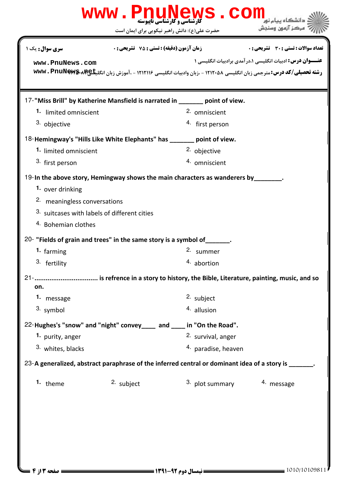| www.PnuNews.com<br><b>تارشناسی و کارشناسی ناپیوسته</b><br>کارشناسی و کارشناسی ناپیوسته |                                                                                                                  |                     |                                                           |  |  |  |
|----------------------------------------------------------------------------------------|------------------------------------------------------------------------------------------------------------------|---------------------|-----------------------------------------------------------|--|--|--|
|                                                                                        | حضرت علی(ع): دانش راهبر نیکویی برای ایمان است                                                                    |                     | مركز آزمون وسنجش                                          |  |  |  |
| <b>سری سوال :</b> یک ۱                                                                 | <b>زمان آزمون (دقیقه) : تستی : 75 ٪ تشریحی : 0</b>                                                               |                     | <b>تعداد سوالات : تستی : 30 ٪ تشریحی : 0</b>              |  |  |  |
| www.PnuNews.com                                                                        | رشته تحصیلی/کد درس: مترجمی زبان انگلیسی ۱۲۱۲۰۵۸ - ،زبان وادبیات انگلیسی ۱۲۱۲۱۱۶ - ،آموزش زبان انگلیکا&wwv . PnuN |                     | عنـــوان درس: ادبیات انگلیسی ۱،در آمدی برادبیات انگلیسی ۱ |  |  |  |
|                                                                                        | 17-"Miss Brill" by Katherine Mansfield is narrated in _______ point of view.                                     |                     |                                                           |  |  |  |
| 1. limited omniscient                                                                  |                                                                                                                  | 2. omniscient       |                                                           |  |  |  |
| 3. objective                                                                           |                                                                                                                  | 4. first person     |                                                           |  |  |  |
|                                                                                        | 18-Hemingway's "Hills Like White Elephants" has _______ point of view.                                           |                     |                                                           |  |  |  |
| 1. limited omniscient                                                                  |                                                                                                                  | 2. objective        |                                                           |  |  |  |
| 3. first person                                                                        |                                                                                                                  | 4. omniscient       |                                                           |  |  |  |
|                                                                                        | 19-In the above story, Hemingway shows the main characters as wanderers by                                       |                     |                                                           |  |  |  |
| 1. over drinking                                                                       |                                                                                                                  |                     |                                                           |  |  |  |
| 2. meaningless conversations                                                           |                                                                                                                  |                     |                                                           |  |  |  |
| 3. suitcases with labels of different cities                                           |                                                                                                                  |                     |                                                           |  |  |  |
| 4. Bohemian clothes                                                                    |                                                                                                                  |                     |                                                           |  |  |  |
|                                                                                        | 20- "Fields of grain and trees" in the same story is a symbol of _______.                                        |                     |                                                           |  |  |  |
| 1. farming                                                                             |                                                                                                                  | 2. summer           |                                                           |  |  |  |
| 3. fertility                                                                           |                                                                                                                  | 4. abortion         |                                                           |  |  |  |
| on.                                                                                    | 21-         is refrence in a story to history, the Bible, Literature, painting, music, and so                    |                     |                                                           |  |  |  |
| 1. message                                                                             |                                                                                                                  | 2. subject          |                                                           |  |  |  |
| 3. symbol                                                                              |                                                                                                                  | 4. allusion         |                                                           |  |  |  |
|                                                                                        | 22-Hughes's "snow" and "night" convey____ and ____ in "On the Road".                                             |                     |                                                           |  |  |  |
| 1. purity, anger                                                                       |                                                                                                                  | 2. survival, anger  |                                                           |  |  |  |
| 3. whites, blacks                                                                      |                                                                                                                  | 4. paradise, heaven |                                                           |  |  |  |
|                                                                                        | 23-A generalized, abstract paraphrase of the inferred central or dominant idea of a story is ______.             |                     |                                                           |  |  |  |
| 1. theme                                                                               | 2. subject                                                                                                       | 3. plot summary     | 4. message                                                |  |  |  |
|                                                                                        |                                                                                                                  |                     |                                                           |  |  |  |
|                                                                                        |                                                                                                                  |                     |                                                           |  |  |  |
|                                                                                        |                                                                                                                  |                     |                                                           |  |  |  |
|                                                                                        |                                                                                                                  |                     |                                                           |  |  |  |